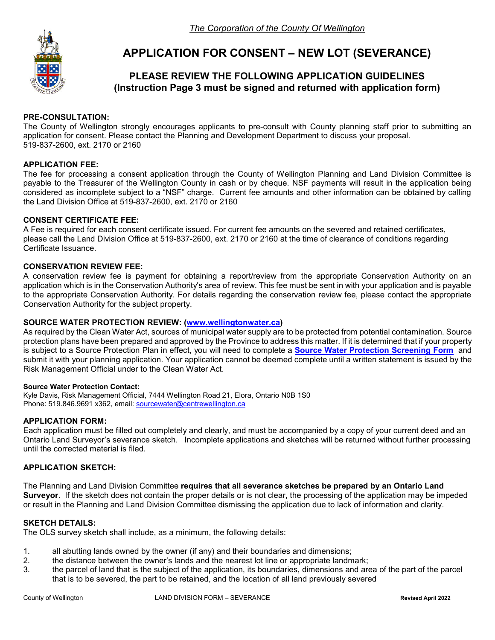

# **APPLICATION FOR CONSENT – NEW LOT (SEVERANCE)**

## **PLEASE REVIEW THE FOLLOWING APPLICATION GUIDELINES (Instruction Page 3 must be signed and returned with application form)**

#### **PRE-CONSULTATION:**

The County of Wellington strongly encourages applicants to pre-consult with County planning staff prior to submitting an application for consent. Please contact the Planning and Development Department to discuss your proposal. 519-837-2600, ext. 2170 or 2160

#### **APPLICATION FEE:**

The fee for processing a consent application through the County of Wellington Planning and Land Division Committee is payable to the Treasurer of the Wellington County in cash or by cheque. NSF payments will result in the application being considered as incomplete subject to a "NSF" charge. Current fee amounts and other information can be obtained by calling the Land Division Office at 519-837-2600, ext. 2170 or 2160

#### **CONSENT CERTIFICATE FEE:**

A Fee is required for each consent certificate issued. For current fee amounts on the severed and retained certificates, please call the Land Division Office at 519-837-2600, ext. 2170 or 2160 at the time of clearance of conditions regarding Certificate Issuance.

#### **CONSERVATION REVIEW FEE:**

A conservation review fee is payment for obtaining a report/review from the appropriate Conservation Authority on an application which is in the Conservation Authority's area of review. This fee must be sent in with your application and is payable to the appropriate Conservation Authority. For details regarding the conservation review fee, please contact the appropriate Conservation Authority for the subject property.

#### **SOURCE WATER PROTECTION REVIEW: [\(www.wellingtonwater.ca\)](http://www.wellingtonwater.ca/)**

As required by the Clean Water Act, sources of municipal water supply are to be protected from potential contamination. Source protection plans have been prepared and approved by the Province to address this matter. If it is determined that if your property is subject to a Source Protection Plan in effect, you will need to complete a **[Source Water Protection Screening Form](https://www.wellington.ca/en/resident-services/resources/Planning/Development-Applications/Source-Water-Protection-Application-June-2018.pdf)** and submit it with your planning application. Your application cannot be deemed complete until a written statement is issued by the Risk Management Official under to the Clean Water Act.

#### **Source Water Protection Contact:**

Kyle Davis, Risk Management Official, 7444 Wellington Road 21, Elora, Ontario N0B 1S0 Phone: 519.846.9691 x362, email: [sourcewater@centrewellington.ca](mailto:sourcewater@centrewellington.ca)

#### **APPLICATION FORM:**

Each application must be filled out completely and clearly, and must be accompanied by a copy of your current deed and an Ontario Land Surveyor's severance sketch. Incomplete applications and sketches will be returned without further processing until the corrected material is filed.

#### **APPLICATION SKETCH:**

The Planning and Land Division Committee **requires that all severance sketches be prepared by an Ontario Land Surveyor**. If the sketch does not contain the proper details or is not clear, the processing of the application may be impeded or result in the Planning and Land Division Committee dismissing the application due to lack of information and clarity.

#### **SKETCH DETAILS:**

The OLS survey sketch shall include, as a minimum, the following details:

- 1. all abutting lands owned by the owner (if any) and their boundaries and dimensions;<br>2. the distance between the owner's lands and the nearest lot line or appropriate landm
- the distance between the owner's lands and the nearest lot line or appropriate landmark;
- 3. the parcel of land that is the subject of the application, its boundaries, dimensions and area of the part of the parcel that is to be severed, the part to be retained, and the location of all land previously severed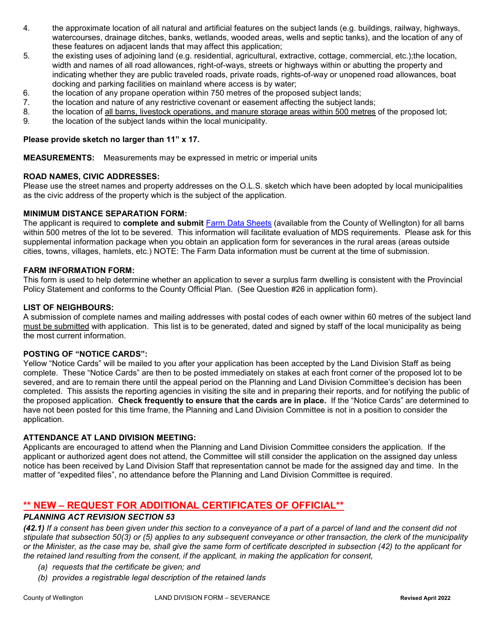- 4. the approximate location of all natural and artificial features on the subject lands (e.g. buildings, railway, highways, watercourses, drainage ditches, banks, wetlands, wooded areas, wells and septic tanks), and the location of any of these features on adjacent lands that may affect this application;
- 5. the existing uses of adjoining land (e.g. residential, agricultural, extractive, cottage, commercial, etc.);the location, width and names of all road allowances, right-of-ways, streets or highways within or abutting the property and indicating whether they are public traveled roads, private roads, rights-of-way or unopened road allowances, boat docking and parking facilities on mainland where access is by water;
- 6. the location of any propane operation within 750 metres of the proposed subject lands;<br>7. the location and nature of any restrictive covenant or easement affecting the subject land
- the location and nature of any restrictive covenant or easement affecting the subject lands;
- 8. the location of all barns, livestock operations, and manure storage areas within 500 metres of the proposed lot;
- 9. the location of the subject lands within the local municipality.

#### **Please provide sketch no larger than 11" x 17.**

**MEASUREMENTS:** Measurements may be expressed in metric or imperial units

#### **ROAD NAMES, CIVIC ADDRESSES:**

Please use the street names and property addresses on the O.L.S. sketch which have been adopted by local municipalities as the civic address of the property which is the subject of the application.

#### **MINIMUM DISTANCE SEPARATION FORM:**

The applicant is required to **complete and submit** [Farm Data Sheets](https://www.wellington.ca/en/resident-services/resources/Planning/Development-Applications/MDS1-Farm-Data-Sheet-Dec-2019-VER.pdf) (available from the County of Wellington) for all barns within 500 metres of the lot to be severed. This information will facilitate evaluation of MDS requirements. Please ask for this supplemental information package when you obtain an application form for severances in the rural areas (areas outside cities, towns, villages, hamlets, etc.) NOTE: The Farm Data information must be current at the time of submission.

#### **FARM INFORMATION FORM:**

This form is used to help determine whether an application to sever a surplus farm dwelling is consistent with the Provincial Policy Statement and conforms to the County Official Plan. (See Question #26 in application form).

#### **LIST OF NEIGHBOURS:**

A submission of complete names and mailing addresses with postal codes of each owner within 60 metres of the subject land must be submitted with application. This list is to be generated, dated and signed by staff of the local municipality as being the most current information.

#### **POSTING OF "NOTICE CARDS":**

Yellow "Notice Cards" will be mailed to you after your application has been accepted by the Land Division Staff as being complete. These "Notice Cards" are then to be posted immediately on stakes at each front corner of the proposed lot to be severed, and are to remain there until the appeal period on the Planning and Land Division Committee's decision has been completed. This assists the reporting agencies in visiting the site and in preparing their reports, and for notifying the public of the proposed application. **Check frequently to ensure that the cards are in place.** If the "Notice Cards" are determined to have not been posted for this time frame, the Planning and Land Division Committee is not in a position to consider the application.

#### **ATTENDANCE AT LAND DIVISION MEETING:**

Applicants are encouraged to attend when the Planning and Land Division Committee considers the application. If the applicant or authorized agent does not attend, the Committee will still consider the application on the assigned day unless notice has been received by Land Division Staff that representation cannot be made for the assigned day and time. In the matter of "expedited files", no attendance before the Planning and Land Division Committee is required.

### **\*\* NEW – REQUEST FOR ADDITIONAL CERTIFICATES OF OFFICIAL\*\***

#### *PLANNING ACT REVISION SECTION 53*

*(42.1) If a consent has been given under this section to a conveyance of a part of a parcel of land and the consent did not stipulate that subsection 50(3) or (5) applies to any subsequent conveyance or other transaction, the clerk of the municipality or the Minister, as the case may be, shall give the same form of certificate descripted in subsection (42) to the applicant for the retained land resulting from the consent, if the applicant, in making the application for consent,* 

- *(a) requests that the certificate be given; and*
- *(b) provides a registrable legal description of the retained lands*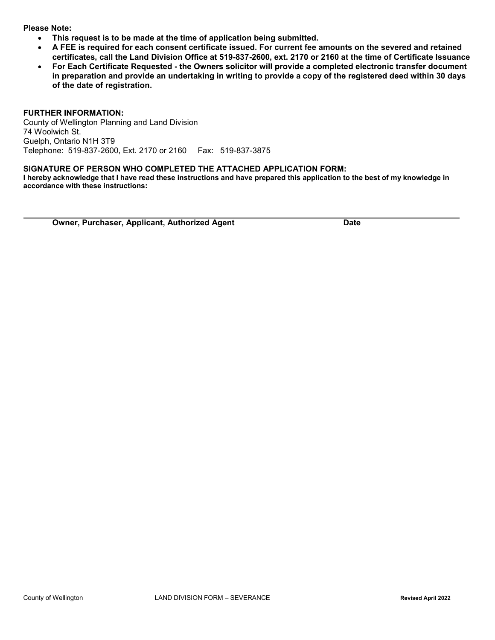#### **Please Note:**

- **This request is to be made at the time of application being submitted.**
- **A FEE is required for each consent certificate issued. For current fee amounts on the severed and retained certificates, call the Land Division Office at 519-837-2600, ext. 2170 or 2160 at the time of Certificate Issuance**
- **For Each Certificate Requested - the Owners solicitor will provide a completed electronic transfer document in preparation and provide an undertaking in writing to provide a copy of the registered deed within 30 days of the date of registration.**

#### **FURTHER INFORMATION:**

County of Wellington Planning and Land Division 74 Woolwich St. Guelph, Ontario N1H 3T9 Telephone: 519-837-2600, Ext. 2170 or 2160 Fax: 519-837-3875

#### **SIGNATURE OF PERSON WHO COMPLETED THE ATTACHED APPLICATION FORM:**

**I hereby acknowledge that I have read these instructions and have prepared this application to the best of my knowledge in accordance with these instructions:**

**Owner, Purchaser, Applicant, Authorized Agent Date Date**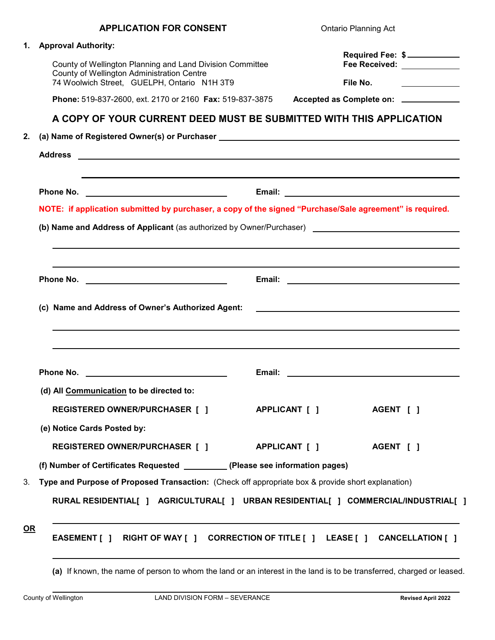|    | <b>APPLICATION FOR CONSENT</b>                                                                                                                                                                                                      |        | <b>Ontario Planning Act</b>                     |  |  |  |  |  |  |  |  |
|----|-------------------------------------------------------------------------------------------------------------------------------------------------------------------------------------------------------------------------------------|--------|-------------------------------------------------|--|--|--|--|--|--|--|--|
| 1. | <b>Approval Authority:</b>                                                                                                                                                                                                          |        |                                                 |  |  |  |  |  |  |  |  |
|    | County of Wellington Planning and Land Division Committee                                                                                                                                                                           |        | Required Fee: \$<br>Fee Received: ____________  |  |  |  |  |  |  |  |  |
|    | County of Wellington Administration Centre<br>74 Woolwich Street, GUELPH, Ontario N1H 3T9                                                                                                                                           |        | File No.<br><u> Listen van die Stad van die</u> |  |  |  |  |  |  |  |  |
|    | Phone: 519-837-2600, ext. 2170 or 2160 Fax: 519-837-3875                                                                                                                                                                            |        | Accepted as Complete on: ____________           |  |  |  |  |  |  |  |  |
|    | A COPY OF YOUR CURRENT DEED MUST BE SUBMITTED WITH THIS APPLICATION                                                                                                                                                                 |        |                                                 |  |  |  |  |  |  |  |  |
| 2. |                                                                                                                                                                                                                                     |        |                                                 |  |  |  |  |  |  |  |  |
|    |                                                                                                                                                                                                                                     |        |                                                 |  |  |  |  |  |  |  |  |
|    |                                                                                                                                                                                                                                     |        |                                                 |  |  |  |  |  |  |  |  |
|    | NOTE: if application submitted by purchaser, a copy of the signed "Purchase/Sale agreement" is required.                                                                                                                            |        |                                                 |  |  |  |  |  |  |  |  |
|    |                                                                                                                                                                                                                                     |        |                                                 |  |  |  |  |  |  |  |  |
|    |                                                                                                                                                                                                                                     |        |                                                 |  |  |  |  |  |  |  |  |
|    |                                                                                                                                                                                                                                     |        |                                                 |  |  |  |  |  |  |  |  |
|    |                                                                                                                                                                                                                                     |        |                                                 |  |  |  |  |  |  |  |  |
|    | Phone No. <u>________________________________</u><br>(c) Name and Address of Owner's Authorized Agent:                                                                                                                              |        |                                                 |  |  |  |  |  |  |  |  |
|    |                                                                                                                                                                                                                                     |        |                                                 |  |  |  |  |  |  |  |  |
|    | <b>Phone No.</b> The contract of the contract of the contract of the contract of the contract of the contract of the contract of the contract of the contract of the contract of the contract of the contract of the contract of th | Email: | <u> 1989 - Johann Barbara, martin a</u>         |  |  |  |  |  |  |  |  |
|    | (d) All Communication to be directed to:                                                                                                                                                                                            |        |                                                 |  |  |  |  |  |  |  |  |
|    | REGISTERED OWNER/PURCHASER [ ]       APPLICANT [ ]                                                                                                                                                                                  |        | AGENT [ ]                                       |  |  |  |  |  |  |  |  |
|    | (e) Notice Cards Posted by:                                                                                                                                                                                                         |        |                                                 |  |  |  |  |  |  |  |  |
|    | REGISTERED OWNER/PURCHASER [ ]       APPLICANT [ ]                                                                                                                                                                                  |        | <b>AGENT</b> [ ]                                |  |  |  |  |  |  |  |  |
|    | (f) Number of Certificates Requested __________(Please see information pages)                                                                                                                                                       |        |                                                 |  |  |  |  |  |  |  |  |
|    | Type and Purpose of Proposed Transaction: (Check off appropriate box & provide short explanation)                                                                                                                                   |        |                                                 |  |  |  |  |  |  |  |  |
| 3. | RURAL RESIDENTIAL[ ] AGRICULTURAL[ ] URBAN RESIDENTIAL[ ] COMMERCIAL/INDUSTRIAL[ ]                                                                                                                                                  |        |                                                 |  |  |  |  |  |  |  |  |

**(a)** If known, the name of person to whom the land or an interest in the land is to be transferred, charged or leased.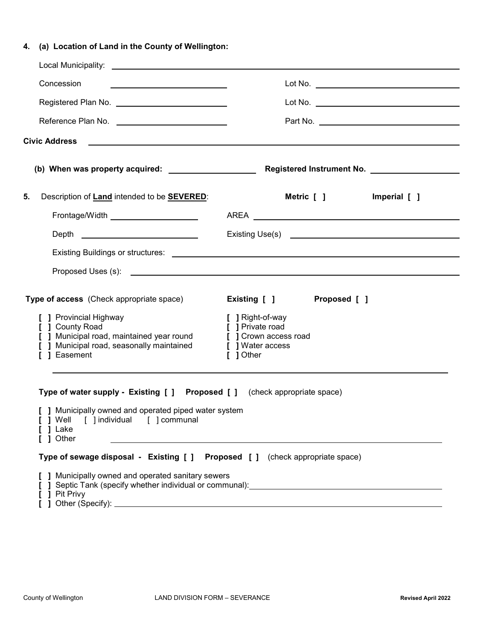# **4. (a) Location of Land in the County of Wellington:**

| <u> 1980 - Johann Barnett, fransk politik (</u>                                                                                                                                                                                      |
|--------------------------------------------------------------------------------------------------------------------------------------------------------------------------------------------------------------------------------------|
| Registered Plan No. _____________________________                                                                                                                                                                                    |
| Reference Plan No. _____________________________                                                                                                                                                                                     |
| Civic Address <b>Contract Contract Contract Contract Contract Contract Contract Contract Contract Contract Contract Contract Contract Contract Contract Contract Contract Contract Contract Contract Contract Contract Contract </b> |
|                                                                                                                                                                                                                                      |
| Description of Land intended to be <b>SEVERED:</b><br>Metric [ ]<br>Imperial [ ]                                                                                                                                                     |
|                                                                                                                                                                                                                                      |
| Existing Use(s) <b>Existing</b> Use(s)                                                                                                                                                                                               |
|                                                                                                                                                                                                                                      |
|                                                                                                                                                                                                                                      |
| Proposed [ ]<br>Existing [ ]<br>[ ] Right-of-way<br>[ ] Private road<br>[ ] Municipal road, maintained year round [ ] Crown access road<br>[ ] Water access<br>[ ] Other                                                             |
| ,我们也不会有什么。""我们的人,我们也不会有什么?""我们的人,我们也不会有什么?""我们的人,我们也不会有什么?""我们的人,我们也不会有什么?""我们的人<br>Type of water supply - Existing [ ] Proposed [ ] (check appropriate space)<br>[ ] Municipally owned and operated piped water system              |
|                                                                                                                                                                                                                                      |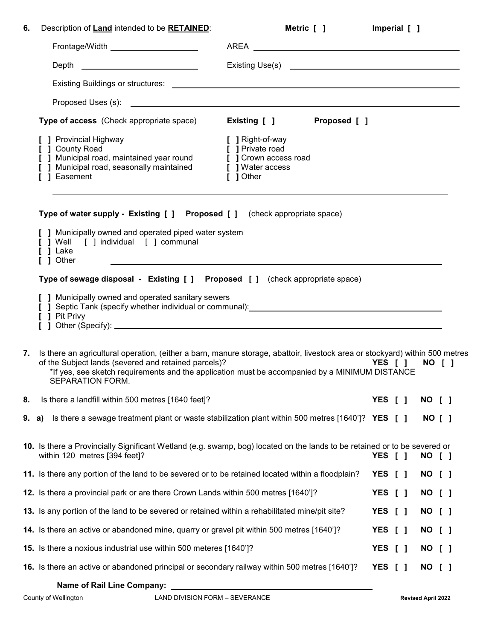| 6.    | Description of Land intended to be RETAINED:                                                                                                                                                                                                                                                               | Metric [ ]                                                                                       | Imperial [ ] |                                         |        |  |
|-------|------------------------------------------------------------------------------------------------------------------------------------------------------------------------------------------------------------------------------------------------------------------------------------------------------------|--------------------------------------------------------------------------------------------------|--------------|-----------------------------------------|--------|--|
|       | Frontage/Width New York 1997                                                                                                                                                                                                                                                                               | AREA                                                                                             |              |                                         |        |  |
|       | Depth _____________________________                                                                                                                                                                                                                                                                        |                                                                                                  |              |                                         |        |  |
|       |                                                                                                                                                                                                                                                                                                            |                                                                                                  |              |                                         |        |  |
|       |                                                                                                                                                                                                                                                                                                            |                                                                                                  |              |                                         |        |  |
|       | <b>Type of access</b> (Check appropriate space)                                                                                                                                                                                                                                                            | Existing [ ] Proposed [ ]                                                                        |              |                                         |        |  |
|       | [ ] Provincial Highway<br>[ ] County Road<br>[ ] Municipal road, maintained year round<br>[ ] Municipal road, seasonally maintained<br>] Easement                                                                                                                                                          | [ ] Right-of-way<br>[ ] Private road<br>[ ] Crown access road<br>[ ] Water access<br>$[$ ] Other |              |                                         |        |  |
|       | Type of water supply - Existing [ ] Proposed [ ] (check appropriate space)                                                                                                                                                                                                                                 |                                                                                                  |              |                                         |        |  |
|       | [ ] Municipally owned and operated piped water system<br>[ ] Well [ ] individual [ ] communal<br>[ ] Lake<br>$\begin{bmatrix} 1 \end{bmatrix}$ Other                                                                                                                                                       |                                                                                                  |              |                                         |        |  |
|       | Type of sewage disposal - Existing [ ] Proposed [ ] (check appropriate space)                                                                                                                                                                                                                              |                                                                                                  |              |                                         |        |  |
|       | [ ] Municipally owned and operated sanitary sewers<br>[ ] Pit Privy                                                                                                                                                                                                                                        |                                                                                                  |              |                                         |        |  |
| 7.    | Is there an agricultural operation, (either a barn, manure storage, abattoir, livestock area or stockyard) within 500 metres<br>of the Subject lands (severed and retained parcels)?<br>*If yes, see sketch requirements and the application must be accompanied by a MINIMUM DISTANCE<br>SEPARATION FORM. |                                                                                                  | YES [ ]      |                                         | NO [ ] |  |
| 8.    | Is there a landfill within 500 metres [1640 feet]?                                                                                                                                                                                                                                                         |                                                                                                  | YES [ ]      |                                         | NO [ ] |  |
| 9. a) | Is there a sewage treatment plant or waste stabilization plant within 500 metres [1640']? YES $[ ]$                                                                                                                                                                                                        |                                                                                                  |              |                                         | NO [ ] |  |
|       | 10. Is there a Provincially Significant Wetland (e.g. swamp, bog) located on the lands to be retained or to be severed or<br>within 120 metres [394 feet]?                                                                                                                                                 |                                                                                                  | YES          | $\begin{smallmatrix} \end{smallmatrix}$ | NO [ ] |  |
|       | 11. Is there any portion of the land to be severed or to be retained located within a floodplain?                                                                                                                                                                                                          |                                                                                                  | YES [ ]      |                                         | NO [ ] |  |
|       | 12. Is there a provincial park or are there Crown Lands within 500 metres [1640']?                                                                                                                                                                                                                         |                                                                                                  | YES [ ]      |                                         | NO [ ] |  |
|       | 13. Is any portion of the land to be severed or retained within a rehabilitated mine/pit site?                                                                                                                                                                                                             |                                                                                                  | YES [ ]      |                                         | NO [ ] |  |
|       | 14. Is there an active or abandoned mine, quarry or gravel pit within 500 metres [1640']?                                                                                                                                                                                                                  |                                                                                                  | YES [ ]      |                                         | NO [ ] |  |
|       | 15. Is there a noxious industrial use within 500 meteres [1640']?                                                                                                                                                                                                                                          |                                                                                                  | YES [ ]      |                                         | NO [ ] |  |
|       | 16. Is there an active or abandoned principal or secondary railway within 500 metres [1640']?                                                                                                                                                                                                              |                                                                                                  | YES [ ]      |                                         | NO [ ] |  |
|       | <b>Name of Rail Line Company:</b>                                                                                                                                                                                                                                                                          |                                                                                                  |              |                                         |        |  |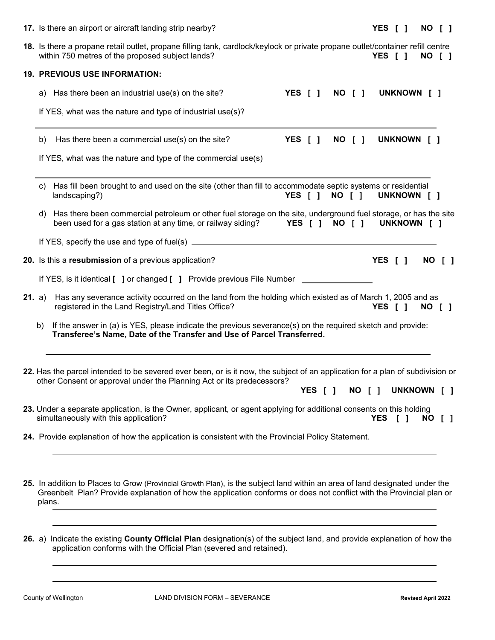|               |    | 17. Is there an airport or aircraft landing strip nearby?                                                                                                                                                                                                     |                            |  |        |  | YES [ ]                    |             | NO [ ] |
|---------------|----|---------------------------------------------------------------------------------------------------------------------------------------------------------------------------------------------------------------------------------------------------------------|----------------------------|--|--------|--|----------------------------|-------------|--------|
|               |    | 18. Is there a propane retail outlet, propane filling tank, cardlock/keylock or private propane outlet/container refill centre<br>within 750 metres of the proposed subject lands?                                                                            |                            |  |        |  | YES [ ]                    |             | NO [ ] |
|               |    | <b>19. PREVIOUS USE INFORMATION:</b>                                                                                                                                                                                                                          |                            |  |        |  |                            |             |        |
|               |    | a) Has there been an industrial use(s) on the site?                                                                                                                                                                                                           | YES [ ]                    |  | NO [ ] |  |                            | UNKNOWN [ ] |        |
|               |    | If YES, what was the nature and type of industrial use(s)?                                                                                                                                                                                                    |                            |  |        |  |                            |             |        |
|               | b) | Has there been a commercial use(s) on the site?                                                                                                                                                                                                               | YES [ ]                    |  | NO [ ] |  |                            | UNKNOWN [ ] |        |
|               |    | If YES, what was the nature and type of the commercial use(s)                                                                                                                                                                                                 |                            |  |        |  |                            |             |        |
|               | C) | Has fill been brought to and used on the site (other than fill to accommodate septic systems or residential<br>landscaping?)                                                                                                                                  | YES [ ] NO [ ] UNKNOWN [ ] |  |        |  |                            |             |        |
|               | d) | Has there been commercial petroleum or other fuel storage on the site, underground fuel storage, or has the site<br>been used for a gas station at any time, or railway siding? YES [ ] NO [ ] UNKNOWN [ ]                                                    |                            |  |        |  |                            |             |        |
|               |    |                                                                                                                                                                                                                                                               |                            |  |        |  |                            |             |        |
|               |    | 20. Is this a resubmission of a previous application?                                                                                                                                                                                                         |                            |  |        |  | YES [ ]                    |             | NO [ ] |
|               |    | If YES, is it identical [ ] or changed [ ] Provide previous File Number _________                                                                                                                                                                             |                            |  |        |  |                            |             |        |
| <b>21.</b> a) |    | Has any severance activity occurred on the land from the holding which existed as of March 1, 2005 and as<br>registered in the Land Registry/Land Titles Office?                                                                                              |                            |  |        |  | YES [ ]                    |             | NO [ ] |
|               | b) | If the answer in (a) is YES, please indicate the previous severance(s) on the required sketch and provide:<br>Transferee's Name, Date of the Transfer and Use of Parcel Transferred.                                                                          |                            |  |        |  |                            |             |        |
|               |    | 22. Has the parcel intended to be severed ever been, or is it now, the subject of an application for a plan of subdivision or<br>other Consent or approval under the Planning Act or its predecessors?                                                        |                            |  |        |  | YES [ ] NO [ ] UNKNOWN [ ] |             |        |
|               |    | 23. Under a separate application, is the Owner, applicant, or agent applying for additional consents on this holding<br>simultaneously with this application?                                                                                                 |                            |  |        |  | YES [ ]                    |             | NO [ ] |
|               |    | 24. Provide explanation of how the application is consistent with the Provincial Policy Statement.                                                                                                                                                            |                            |  |        |  |                            |             |        |
|               |    |                                                                                                                                                                                                                                                               |                            |  |        |  |                            |             |        |
|               |    | 25. In addition to Places to Grow (Provincial Growth Plan), is the subject land within an area of land designated under the<br>Greenbelt Plan? Provide explanation of how the application conforms or does not conflict with the Provincial plan or<br>plans. |                            |  |        |  |                            |             |        |
|               |    |                                                                                                                                                                                                                                                               |                            |  |        |  |                            |             |        |

**26.** a) Indicate the existing **County Official Plan** designation(s) of the subject land, and provide explanation of how the application conforms with the Official Plan (severed and retained).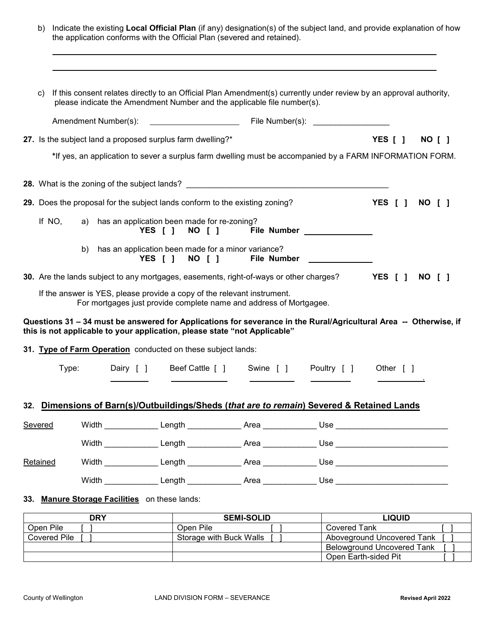| b)       |        | the application conforms with the Official Plan (severed and retained).                                                                       |                                                    |         |        |  |                    | Indicate the existing Local Official Plan (if any) designation(s) of the subject land, and provide explanation of how                                                                                                               |         |               |               |        |
|----------|--------|-----------------------------------------------------------------------------------------------------------------------------------------------|----------------------------------------------------|---------|--------|--|--------------------|-------------------------------------------------------------------------------------------------------------------------------------------------------------------------------------------------------------------------------------|---------|---------------|---------------|--------|
| C)       |        | please indicate the Amendment Number and the applicable file number(s).                                                                       |                                                    |         |        |  |                    | If this consent relates directly to an Official Plan Amendment(s) currently under review by an approval authority,                                                                                                                  |         |               |               |        |
|          |        |                                                                                                                                               |                                                    |         |        |  |                    |                                                                                                                                                                                                                                     |         |               |               |        |
|          |        | 27. Is the subject land a proposed surplus farm dwelling?*                                                                                    |                                                    |         |        |  |                    |                                                                                                                                                                                                                                     | YES [ ] |               |               | NO [ ] |
|          |        |                                                                                                                                               |                                                    |         |        |  |                    | *If yes, an application to sever a surplus farm dwelling must be accompanied by a FARM INFORMATION FORM.                                                                                                                            |         |               |               |        |
|          |        |                                                                                                                                               |                                                    |         |        |  |                    |                                                                                                                                                                                                                                     |         |               |               |        |
|          |        | 29. Does the proposal for the subject lands conform to the existing zoning?                                                                   |                                                    |         |        |  |                    |                                                                                                                                                                                                                                     | YES [ ] |               | <b>NO [ ]</b> |        |
|          | If NO, |                                                                                                                                               | a) has an application been made for re-zoning?     |         |        |  |                    | YES [ ] NO [ ] File Number _____________                                                                                                                                                                                            |         |               |               |        |
|          |        | b)                                                                                                                                            | has an application been made for a minor variance? | YES [ ] | NO [ ] |  | <b>File Number</b> |                                                                                                                                                                                                                                     |         |               |               |        |
|          |        |                                                                                                                                               |                                                    |         |        |  |                    | 30. Are the lands subject to any mortgages, easements, right-of-ways or other charges? YES [ ]                                                                                                                                      |         |               | NO [ ]        |        |
|          |        | If the answer is YES, please provide a copy of the relevant instrument.<br>For mortgages just provide complete name and address of Mortgagee. |                                                    |         |        |  |                    |                                                                                                                                                                                                                                     |         |               |               |        |
|          |        | this is not applicable to your application, please state "not Applicable"                                                                     |                                                    |         |        |  |                    | Questions 31 - 34 must be answered for Applications for severance in the Rural/Agricultural Area -- Otherwise, if                                                                                                                   |         |               |               |        |
|          |        | 31. Type of Farm Operation conducted on these subject lands:                                                                                  |                                                    |         |        |  |                    |                                                                                                                                                                                                                                     |         |               |               |        |
|          | Type:  |                                                                                                                                               |                                                    |         |        |  |                    | Dairy [ ] Beef Cattle [ ] Swine [ ] Poultry [ ] Other [ ]                                                                                                                                                                           |         |               |               |        |
|          |        |                                                                                                                                               |                                                    |         |        |  |                    |                                                                                                                                                                                                                                     |         |               |               |        |
|          |        |                                                                                                                                               |                                                    |         |        |  |                    | 32. Dimensions of Barn(s)/Outbuildings/Sheds (that are to remain) Severed & Retained Lands                                                                                                                                          |         |               |               |        |
| Severed  |        |                                                                                                                                               |                                                    |         |        |  |                    | Width <b>Example Length Area</b> and Disease and Disease and Disease and Disease and Disease and Disease and Disease and Disease and Disease and Disease and Disease and Disease and Disease and Disease and Disease and Disease an |         |               |               |        |
|          |        |                                                                                                                                               |                                                    |         |        |  |                    | ______________________Length ______________Area ______________Use ______________                                                                                                                                                    |         |               |               |        |
| Retained |        |                                                                                                                                               |                                                    |         |        |  |                    | ______________________Length ______________Area ______________Use ______________                                                                                                                                                    |         |               |               |        |
|          |        |                                                                                                                                               |                                                    |         |        |  |                    |                                                                                                                                                                                                                                     |         |               |               |        |
|          |        | 33. Manure Storage Facilities on these lands:                                                                                                 |                                                    |         |        |  |                    |                                                                                                                                                                                                                                     |         |               |               |        |
|          |        | <b>DRY</b>                                                                                                                                    |                                                    |         |        |  | SEMI-SOLID         |                                                                                                                                                                                                                                     |         | <b>LIQUID</b> |               |        |

| ות           | <b>JEMI-JULIU</b>       | LIWUID                            |
|--------------|-------------------------|-----------------------------------|
| Open Pile    | Open Pile               | Covered Tank                      |
| Covered Pile | Storage with Buck Walls | Aboveground Uncovered Tank        |
|              |                         | <b>Belowground Uncovered Tank</b> |
|              |                         | Open Earth-sided Pit              |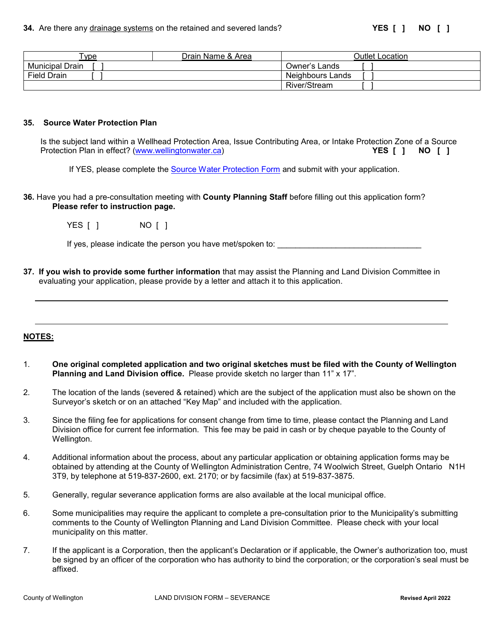| vpe                    | Name &<br>Drain<br>Area | Jutlet '<br>Location |
|------------------------|-------------------------|----------------------|
| <b>Municipal Drain</b> |                         | Owner's Lands        |
| <b>Field Drain</b>     |                         | Neighbours Lands     |
|                        |                         | <b>River/Stream</b>  |

#### **35. Source Water Protection Plan**

Is the subject land within a Wellhead Protection Area, Issue Contributing Area, or Intake Protection Zone of a Source<br>Protection Plan in effect? (www.wellingtonwater.ca) Protection Plan in effect? [\(www.wellingtonwater.ca\)](http://www.wellingtonwater.ca/)

If YES, please complete the [Source Water Protection Form](https://www.wellington.ca/en/resident-services/resources/Planning/Development-Applications/Source-Water-Protection-Application-June-2018.pdf) and submit with your application.

**36.** Have you had a pre-consultation meeting with **County Planning Staff** before filling out this application form? **Please refer to instruction page.**

| YES [ ] |  | NO [ ] |  |
|---------|--|--------|--|
|         |  |        |  |

If yes, please indicate the person you have met/spoken to: \_\_\_\_\_\_\_\_\_\_\_\_\_\_\_\_\_\_\_\_\_

**37. If you wish to provide some further information** that may assist the Planning and Land Division Committee in evaluating your application, please provide by a letter and attach it to this application.

#### **NOTES:**

- 1. **One original completed application and two original sketches must be filed with the County of Wellington Planning and Land Division office.** Please provide sketch no larger than 11" x 17".
- 2. The location of the lands (severed & retained) which are the subject of the application must also be shown on the Surveyor's sketch or on an attached "Key Map" and included with the application.
- 3. Since the filing fee for applications for consent change from time to time, please contact the Planning and Land Division office for current fee information. This fee may be paid in cash or by cheque payable to the County of Wellington.
- 4. Additional information about the process, about any particular application or obtaining application forms may be obtained by attending at the County of Wellington Administration Centre, 74 Woolwich Street, Guelph Ontario N1H 3T9, by telephone at 519-837-2600, ext. 2170; or by facsimile (fax) at 519-837-3875.
- 5. Generally, regular severance application forms are also available at the local municipal office.
- 6. Some municipalities may require the applicant to complete a pre-consultation prior to the Municipality's submitting comments to the County of Wellington Planning and Land Division Committee. Please check with your local municipality on this matter.
- 7. If the applicant is a Corporation, then the applicant's Declaration or if applicable, the Owner's authorization too, must be signed by an officer of the corporation who has authority to bind the corporation; or the corporation's seal must be affixed.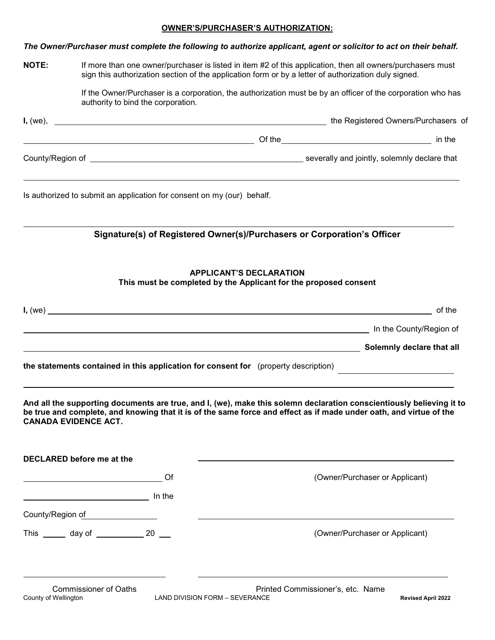## **OWNER'S/PURCHASER'S AUTHORIZATION:**

|                      |                                                                                     | The Owner/Purchaser must complete the following to authorize applicant, agent or solicitor to act on their behalf.                                                                                                                         |
|----------------------|-------------------------------------------------------------------------------------|--------------------------------------------------------------------------------------------------------------------------------------------------------------------------------------------------------------------------------------------|
| <b>NOTE:</b>         |                                                                                     | If more than one owner/purchaser is listed in item #2 of this application, then all owners/purchasers must<br>sign this authorization section of the application form or by a letter of authorization duly signed.                         |
|                      | authority to bind the corporation.                                                  | If the Owner/Purchaser is a corporation, the authorization must be by an officer of the corporation who has                                                                                                                                |
|                      |                                                                                     |                                                                                                                                                                                                                                            |
|                      |                                                                                     | example and the set of the set of the set of the set of the set of the set of the set of the set of the set of the set of the set of the set of the set of the set of the set of the set of the set of the set of the set of t             |
|                      |                                                                                     |                                                                                                                                                                                                                                            |
|                      | Is authorized to submit an application for consent on my (our) behalf.              | ,我们也不会有什么。""我们的人,我们也不会有什么?""我们的人,我们也不会有什么?""我们的人,我们也不会有什么?""我们的人,我们也不会有什么?""我们的人                                                                                                                                                           |
|                      |                                                                                     | Signature(s) of Registered Owner(s)/Purchasers or Corporation's Officer                                                                                                                                                                    |
|                      |                                                                                     | <b>APPLICANT'S DECLARATION</b><br>This must be completed by the Applicant for the proposed consent                                                                                                                                         |
|                      |                                                                                     | I, (we)<br>of the                                                                                                                                                                                                                          |
|                      |                                                                                     | the County/Region of the County/Region of the County of the County of the County of the County of the County of the County of the County of the County of the County of the County of the County of the County of the County o             |
|                      |                                                                                     | Solemnly declare that all example and the set of the set of the set of the set of the set of the set of the set of the set of the set of the set of the set of the set of the set of the set of the set of the set of the set              |
|                      | the statements contained in this application for consent for (property description) |                                                                                                                                                                                                                                            |
|                      | <b>CANADA EVIDENCE ACT.</b>                                                         | And all the supporting documents are true, and I, (we), make this solemn declaration conscientiously believing it to<br>be true and complete, and knowing that it is of the same force and effect as if made under oath, and virtue of the |
|                      | <b>DECLARED before me at the</b>                                                    |                                                                                                                                                                                                                                            |
|                      | Of                                                                                  | (Owner/Purchaser or Applicant)                                                                                                                                                                                                             |
|                      |                                                                                     |                                                                                                                                                                                                                                            |
|                      | County/Region of County/Region of                                                   |                                                                                                                                                                                                                                            |
|                      | This _______ day of _____________ 20 ___                                            | (Owner/Purchaser or Applicant)                                                                                                                                                                                                             |
| County of Wellington | <b>Commissioner of Oaths</b><br>LAND DIVISION FORM - SEVERANCE                      | Printed Commissioner's, etc. Name<br><b>Revised April 2022</b>                                                                                                                                                                             |